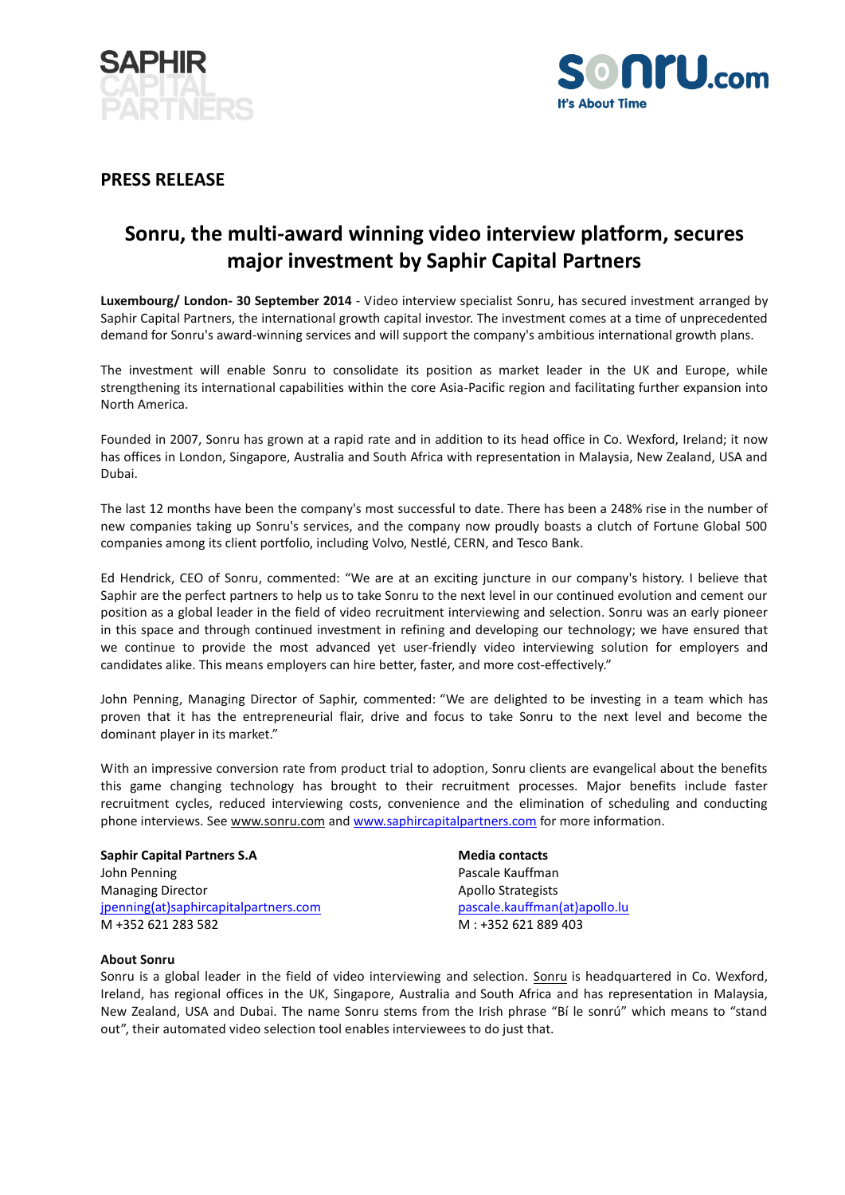



### **PRESS RELEASE**

# **Sonru, the multi-award winning video interview platform, secures major investment by Saphir Capital Partners**

**Luxembourg/ London- 30 September 2014** - Video interview specialist Sonru, has secured investment arranged by Saphir Capital Partners, the international growth capital investor. The investment comes at a time of unprecedented demand for Sonru's award-winning services and will support the company's ambitious international growth plans.

The investment will enable Sonru to consolidate its position as market leader in the UK and Europe, while strengthening its international capabilities within the core Asia-Pacific region and facilitating further expansion into North America.

Founded in 2007, Sonru has grown at a rapid rate and in addition to its head office in Co. Wexford, Ireland; it now has offices in London, Singapore, Australia and South Africa with representation in Malaysia, New Zealand, USA and Dubai.

The last 12 months have been the company's most successful to date. There has been a 248% rise in the number of new companies taking up Sonru's services, and the company now proudly boasts a clutch of Fortune Global 500 companies among its client portfolio, including Volvo, Nestlé, CERN, and Tesco Bank.

Ed Hendrick, CEO of Sonru, commented: "We are at an exciting juncture in our company's history. I believe that Saphir are the perfect partners to help us to take Sonru to the next level in our continued evolution and cement our position as a global leader in the field of video recruitment interviewing and selection. Sonru was an early pioneer in this space and through continued investment in refining and developing our technology; we have ensured that we continue to provide the most advanced yet user-friendly video interviewing solution for employers and candidates alike. This means employers can hire better, faster, and more cost-effectively."

John Penning, Managing Director of Saphir, commented: "We are delighted to be investing in a team which has proven that it has the entrepreneurial flair, drive and focus to take Sonru to the next level and become the dominant player in its market."

With an impressive conversion rate from product trial to adoption, Sonru clients are evangelical about the benefits this game changing technology has brought to their recruitment processes. Major benefits include faster recruitment cycles, reduced interviewing costs, convenience and the elimination of scheduling and conducting phone interviews. Se[e www.sonru.com](http://www.sonru.com/) and [www.saphircapitalpartners.com](http://www.saphircapitalpartners.com/) for more information.

## **Saphir Capital Partners S.A Media contacts** John Penning **Pascale Kauffman** Managing Director **Apollo Strategists** Apollo Strategists

[jpenning\(at\)saphircapitalpartners.com](mailto:jpenning(at)saphircapitalpartners.com) [pascale.kauffman\(at\)apollo.lu](mailto:pascale.kauffman@apollo.lu) M +352 621 283 582 M : +352 621 889 403

### **About Sonru**

Sonru is a global leader in the field of video interviewing and selection. [Sonru](http://www.sonru.com/) is headquartered in Co. Wexford, Ireland, has regional offices in the UK, Singapore, Australia and South Africa and has representation in Malaysia, New Zealand, USA and Dubai. The name Sonru stems from the Irish phrase "Bí le sonrú" which means to "stand out", their automated video selection tool enables interviewees to do just that.